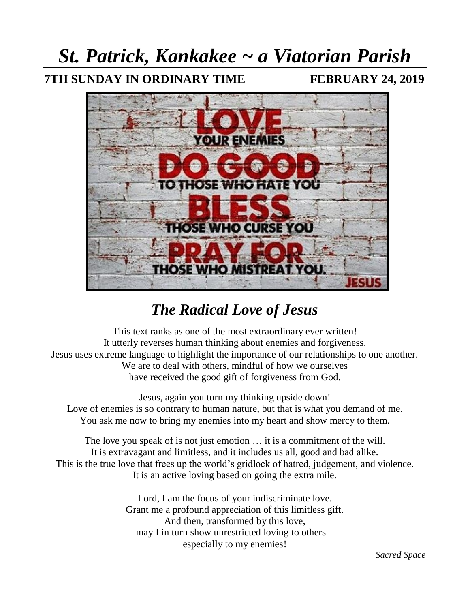# *St. Patrick, Kankakee ~ a Viatorian Parish*

### **7TH SUNDAY IN ORDINARY TIME FEBRUARY 24, 2019**



## *The Radical Love of Jesus*

This text ranks as one of the most extraordinary ever written! It utterly reverses human thinking about enemies and forgiveness. Jesus uses extreme language to highlight the importance of our relationships to one another. We are to deal with others, mindful of how we ourselves have received the good gift of forgiveness from God.

Jesus, again you turn my thinking upside down! Love of enemies is so contrary to human nature, but that is what you demand of me. You ask me now to bring my enemies into my heart and show mercy to them.

The love you speak of is not just emotion … it is a commitment of the will. It is extravagant and limitless, and it includes us all, good and bad alike. This is the true love that frees up the world's gridlock of hatred, judgement, and violence. It is an active loving based on going the extra mile.

> Lord, I am the focus of your indiscriminate love. Grant me a profound appreciation of this limitless gift. And then, transformed by this love, may I in turn show unrestricted loving to others – especially to my enemies!

> > *Sacred Space*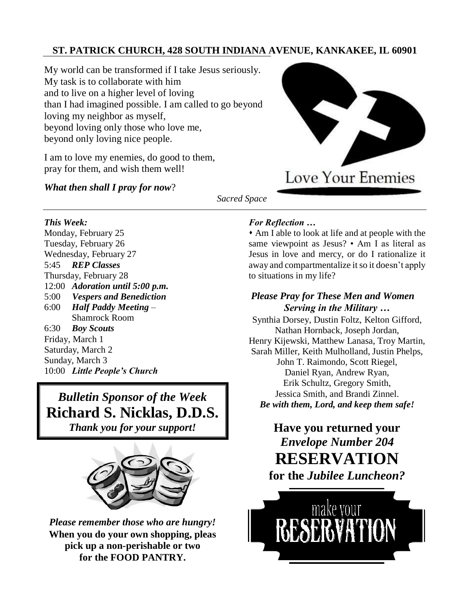#### **ST. PATRICK CHURCH, 428 SOUTH INDIANA AVENUE, KANKAKEE, IL 60901**

My world can be transformed if I take Jesus seriously. My task is to collaborate with him and to live on a higher level of loving than I had imagined possible. I am called to go beyond loving my neighbor as myself, beyond loving only those who love me, beyond only loving nice people.

I am to love my enemies, do good to them, pray for them, and wish them well!

#### *What then shall I pray for now*?



*Sacred Space*

#### *This Week:*

Monday, February 25 Tuesday, February 26 Wednesday, February 27 5:45 *REP Classes* Thursday, February 28 12:00 *Adoration until 5:00 p.m.* 5:00 *Vespers and Benediction* 6:00 *Half Paddy Meeting* – Shamrock Room 6:30 *Boy Scouts* Friday, March 1 Saturday, March 2 Sunday, March 3 10:00 Little People's Church

*Bulletin Sponsor of the Week* **Richard S. Nicklas, D.D.S.** *Thank you for your support!*



*Please remember those who are hungry!*  **When you do your own shopping, pleas pick up a non-perishable or two for the FOOD PANTRY.**

#### *For Reflection …*

⬧ Am I able to look at life and at people with the same viewpoint as Jesus? • Am I as literal as Jesus in love and mercy, or do I rationalize it away and compartmentalize it so it doesn't apply to situations in my life?

#### *Please Pray for These Men and Women Serving in the Military …*

Synthia Dorsey, Dustin Foltz, Kelton Gifford, Nathan Hornback, Joseph Jordan, Henry Kijewski, Matthew Lanasa, Troy Martin, Sarah Miller, Keith Mulholland, Justin Phelps, John T. Raimondo, Scott Riegel, Daniel Ryan, Andrew Ryan, Erik Schultz, Gregory Smith, Jessica Smith, and Brandi Zinnel. *Be with them, Lord, and keep them safe!* 

## **Have you returned your**  *Envelope Number 204* **RESERVATION for the** *Jubilee Luncheon?*

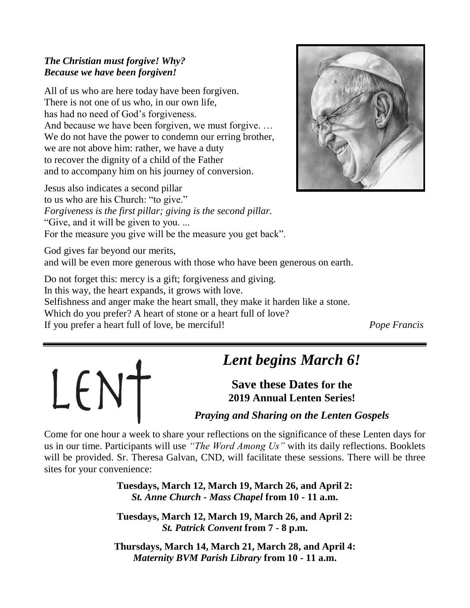#### *The Christian must forgive! Why? Because we have been forgiven!*

All of us who are here today have been forgiven. There is not one of us who, in our own life, has had no need of God's forgiveness. And because we have been forgiven, we must forgive. … We do not have the power to condemn our erring brother, we are not above him: rather, we have a duty to recover the dignity of a child of the Father and to accompany him on his journey of conversion.

Jesus also indicates a second pillar to us who are his Church: "to give." *Forgiveness is the first pillar; giving is the second pillar.*  "Give, and it will be given to you. ... For the measure you give will be the measure you get back".



God gives far beyond our merits, and will be even more generous with those who have been generous on earth.

Do not forget this: mercy is a gift; forgiveness and giving. In this way, the heart expands, it grows with love. Selfishness and anger make the heart small, they make it harden like a stone. Which do you prefer? A heart of stone or a heart full of love? If you prefer a heart full of love, be merciful! *Pope Francis*



## *Lent begins March 6!*

**Save these Dates for the 2019 Annual Lenten Series!**

### *Praying and Sharing on the Lenten Gospels*

Come for one hour a week to share your reflections on the significance of these Lenten days for us in our time. Participants will use *"The Word Among Us"* with its daily reflections. Booklets will be provided. Sr. Theresa Galvan, CND, will facilitate these sessions. There will be three sites for your convenience:

> **Tuesdays, March 12, March 19, March 26, and April 2:**  *St. Anne Church - Mass Chapel* **from 10 - 11 a.m.**

> **Tuesdays, March 12, March 19, March 26, and April 2:**  *St. Patrick Convent* **from 7 - 8 p.m.**

**Thursdays, March 14, March 21, March 28, and April 4:**  *Maternity BVM Parish Library* **from 10 - 11 a.m.**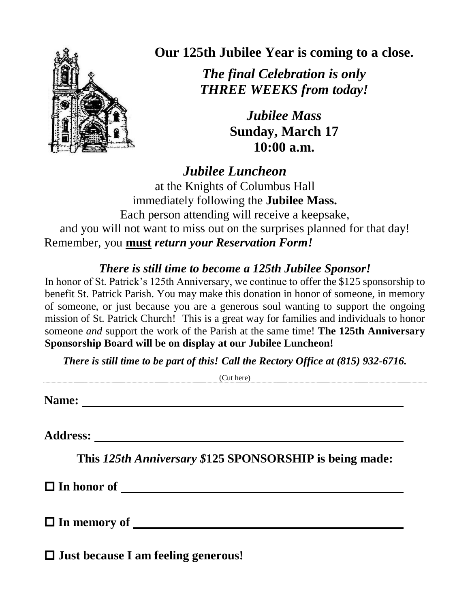

**Our 125th Jubilee Year is coming to a close.**

*The final Celebration is only THREE WEEKS from today!*

> *Jubilee Mass* **Sunday, March 17 10:00 a.m.**

*Jubilee Luncheon* 

at the Knights of Columbus Hall immediately following the **Jubilee Mass.** Each person attending will receive a keepsake, and you will not want to miss out on the surprises planned for that day! Remember, you **must** *return your Reservation Form!*

## *There is still time to become a 125th Jubilee Sponsor!*

In honor of St. Patrick's 125th Anniversary, we continue to offer the \$125 sponsorship to benefit St. Patrick Parish. You may make this donation in honor of someone, in memory of someone, or just because you are a generous soul wanting to support the ongoing mission of St. Patrick Church! This is a great way for families and individuals to honor someone *and* support the work of the Parish at the same time! **The 125th Anniversary Sponsorship Board will be on display at our Jubilee Luncheon!**

*There is still time to be part of this! Call the Rectory Office at (815) 932-6716.*

(Cut here)

**Name:** <u><u>**Mame:**</u> *Mame: Mame: Mame: Mame: Mame: Mame: Mame: Mame: Mame: Mame: Mame: Mame: Mame: Mame: Mame: Mame: Mame: Mame: Mame: Mame: M</u>* 

**Address:** 

**This** *125th Anniversary \$***125 SPONSORSHIP is being made:**

**In honor of** 

**In memory of** 

**Just because I am feeling generous!**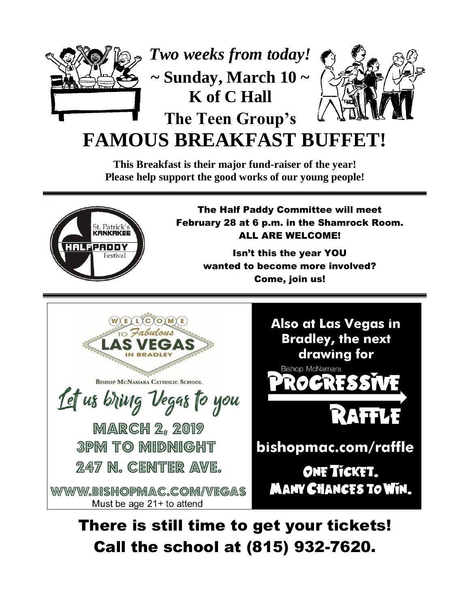

**FAMOUS BREAKFAST BUI** 

**This Breakfast is their major fund-raiser of the year! Please help support the good works of our young people!**



The Half Paddy Committee will meet February 28 at 6 p.m. in the Shamrock Room. ALL ARE WELCOME!

> Isn't this the year YOU wanted to become more involved? Come, join us!





There is still time to get your tickets! Call the school at (815) 932-7620.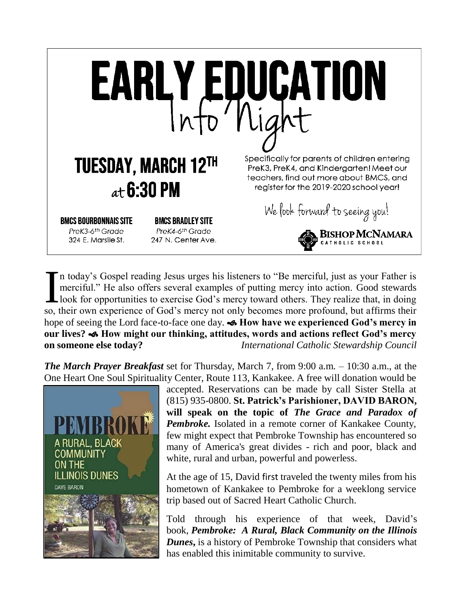

n today's Gospel reading Jesus urges his listeners to "Be merciful, just as your Father is merciful." He also offers several examples of putting mercy into action. Good stewards look for opportunities to exercise God's mercy toward others. They realize that, in doing In today's Gospel reading Jesus urges his listeners to "Be merciful, just as your Father is merciful." He also offers several examples of putting mercy into action. Good stewards look for opportunities to exercise God's me hope of seeing the Lord face-to-face one day. **Solution Section Algermian Condeta** God's mercy in **our lives? How might our thinking, attitudes, words and actions reflect God's mercy on someone else today?** *International Catholic Stewardship Council*

*The March Prayer Breakfast* set for Thursday, March 7, from 9:00 a.m. – 10:30 a.m., at the One Heart One Soul Spirituality Center, Route 113, Kankakee. A free will donation would be



accepted. Reservations can be made by call Sister Stella at (815) 935-0800. **St. Patrick's Parishioner, DAVID BARON, will speak on the topic of** *The Grace and Paradox of Pembroke.* Isolated in a remote corner of Kankakee County, few might expect that Pembroke Township has encountered so many of America's great divides - rich and poor, black and white, rural and urban, powerful and powerless.

At the age of 15, David first traveled the twenty miles from his hometown of Kankakee to Pembroke for a weeklong service trip based out of Sacred Heart Catholic Church.

Told through his experience of that week, David's book, *Pembroke: A Rural, Black Community on the Illinois Dunes***,** is a history of Pembroke Township that considers what has enabled this inimitable community to survive.